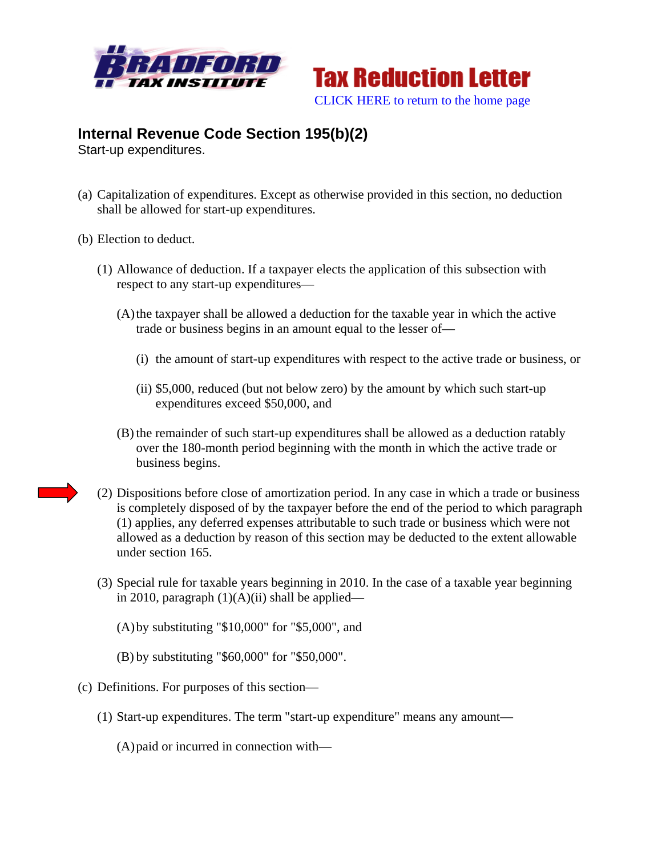



## **Internal Revenue Code Section 195(b)(2)**

Start-up expenditures.

- (a) Capitalization of expenditures. Except as otherwise provided in this section, no deduction shall be allowed for start-up expenditures.
- (b) Election to deduct.
	- (1) Allowance of deduction. If a taxpayer elects the application of this subsection with respect to any start-up expenditures—
		- (A)the taxpayer shall be allowed a deduction for the taxable year in which the active trade or business begins in an amount equal to the lesser of—
			- (i) the amount of start-up expenditures with respect to the active trade or business, or
			- (ii) \$5,000, reduced (but not below zero) by the amount by which such start-up expenditures exceed \$50,000, and
		- (B) the remainder of such start-up expenditures shall be allowed as a deduction ratably over the 180-month period beginning with the month in which the active trade or business begins.
	- (2) Dispositions before close of amortization period. In any case in which a trade or business is completely disposed of by the taxpayer before the end of the period to which paragraph (1) applies, any deferred expenses attributable to such trade or business which were not allowed as a deduction by reason of this section may be deducted to the extent allowable under section 165.
	- (3) Special rule for taxable years beginning in 2010. In the case of a taxable year beginning in 2010, paragraph  $(1)(A)(ii)$  shall be applied—
		- (A)by substituting "\$10,000" for "\$5,000", and
		- (B) by substituting "\$60,000" for "\$50,000".
- (c) Definitions. For purposes of this section—
	- (1) Start-up expenditures. The term "start-up expenditure" means any amount—
		- (A)paid or incurred in connection with—